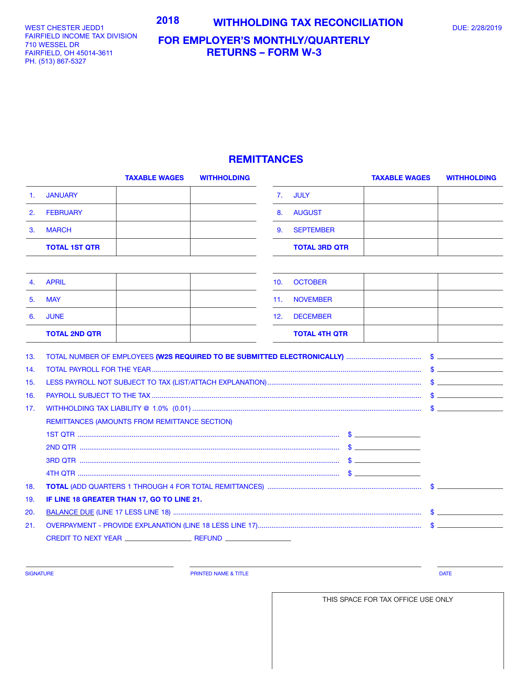## WEST CHESTER JEDD1 **1990 - 2018 MITHHOLDING TAX RECONCILIATION** DUE: 2/28/2019

WEST CHESTER JEDD1 FAIRFIELD INCOME TAX DIVISION 701 WESSEL DR 710 WESSEL DR FAIRFIELD, OH 45014-3611 FAIRFIELD, OH 45014-3611 PH. (513) 867-5327 PH. (513) 867-5327

## **FOR EMPLOYER'S MONTHLY/QUARTERLY RETURNS – FORM W-3**

## **REMITTANCES**

|     | <b>TAXABLE WAGES</b>                          | <b>WITHHOLDING</b> |     |                      | <b>TAXABLE WAGES</b> | <b>WITHHOLDING</b> |
|-----|-----------------------------------------------|--------------------|-----|----------------------|----------------------|--------------------|
| 1.  | <b>JANUARY</b>                                |                    | 7.  | <b>JULY</b>          |                      |                    |
| 2.  | <b>FEBRUARY</b>                               |                    | 8.  | <b>AUGUST</b>        |                      |                    |
| 3.  | <b>MARCH</b>                                  |                    | 9.  | <b>SEPTEMBER</b>     |                      |                    |
|     | <b>TOTAL 1ST QTR</b>                          |                    |     | <b>TOTAL 3RD QTR</b> |                      |                    |
|     |                                               |                    |     |                      |                      |                    |
| 4.  | <b>APRIL</b>                                  |                    | 10. | <b>OCTOBER</b>       |                      |                    |
| 5.  | <b>MAY</b>                                    |                    | 11. | <b>NOVEMBER</b>      |                      |                    |
| 6.  | <b>JUNE</b>                                   |                    | 12. | <b>DECEMBER</b>      |                      |                    |
|     | <b>TOTAL 2ND QTR</b>                          |                    |     | <b>TOTAL 4TH QTR</b> |                      |                    |
| 13. |                                               |                    |     |                      |                      |                    |
| 14. |                                               |                    |     |                      |                      |                    |
| 15. |                                               |                    |     |                      |                      |                    |
| 16. |                                               |                    |     |                      |                      |                    |
| 17. |                                               |                    |     |                      |                      |                    |
|     | REMITTANCES (AMOUNTS FROM REMITTANCE SECTION) |                    |     |                      |                      |                    |
|     |                                               |                    |     |                      |                      |                    |
|     |                                               |                    |     |                      |                      |                    |
|     |                                               |                    |     |                      |                      |                    |
|     |                                               |                    |     |                      |                      |                    |
| 18. |                                               |                    |     |                      |                      |                    |
| 19. | IF LINE 18 GREATER THAN 17, GO TO LINE 21.    |                    |     |                      |                      |                    |
| 20. |                                               |                    |     |                      |                      |                    |
| 21. |                                               |                    |     |                      |                      |                    |
|     |                                               |                    |     |                      |                      |                    |
|     |                                               |                    |     |                      |                      |                    |

SIGNATURE **Example 2008 CONSUMING THE PRINTED NAME & TITLE PRINTED NAME & TITLE DATE** 

THIS SPACE FOR TAX OFFICE USE ONLY